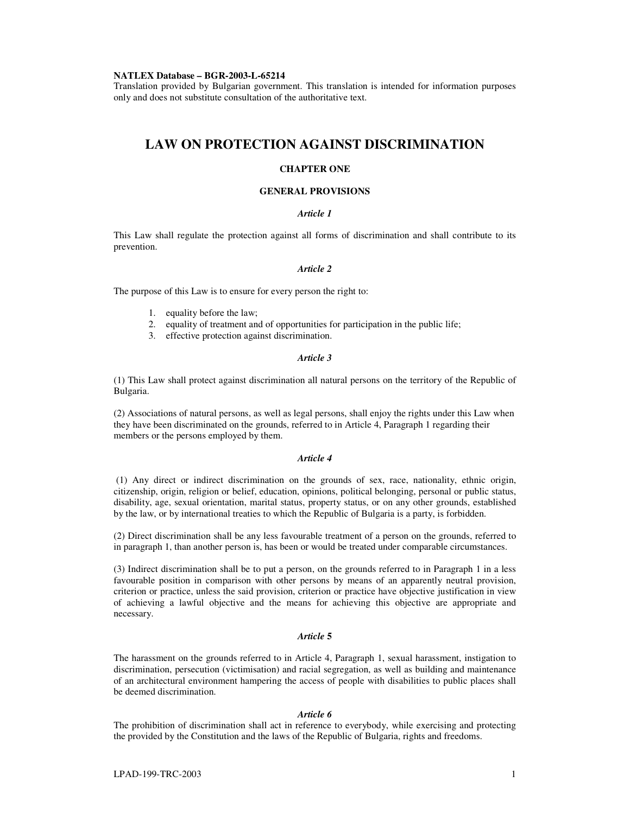#### **NATLEX Database – BGR-2003-L-65214**

Translation provided by Bulgarian government. This translation is intended for information purposes only and does not substitute consultation of the authoritative text.

# **LAW ON PROTECTION AGAINST DISCRIMINATION**

## **CHAPTER ONE**

#### **GENERAL PROVISIONS**

## *Article 1*

This Law shall regulate the protection against all forms of discrimination and shall contribute to its prevention.

### *Article 2*

The purpose of this Law is to ensure for every person the right to:

- 1. equality before the law;
- 2. equality of treatment and of opportunities for participation in the public life;
- 3. effective protection against discrimination.

#### *Article 3*

(1) This Law shall protect against discrimination all natural persons on the territory of the Republic of Bulgaria.

(2) Associations of natural persons, as well as legal persons, shall enjoy the rights under this Law when they have been discriminated on the grounds, referred to in Article 4, Paragraph 1 regarding their members or the persons employed by them.

## *Article 4*

(1) Any direct or indirect discrimination on the grounds of sex, race, nationality, ethnic origin, citizenship, origin, religion or belief, education, opinions, political belonging, personal or public status, disability, age, sexual orientation, marital status, property status, or on any other grounds, established by the law, or by international treaties to which the Republic of Bulgaria is a party, is forbidden.

(2) Direct discrimination shall be any less favourable treatment of a person on the grounds, referred to in paragraph 1, than another person is, has been or would be treated under comparable circumstances.

(3) Indirect discrimination shall be to put a person, on the grounds referred to in Paragraph 1 in a less favourable position in comparison with other persons by means of an apparently neutral provision, criterion or practice, unless the said provision, criterion or practice have objective justification in view of achieving a lawful objective and the means for achieving this objective are appropriate and necessary.

# *Article* **5**

The harassment on the grounds referred to in Article 4, Paragraph 1, sexual harassment, instigation to discrimination, persecution (victimisation) and racial segregation, as well as building and maintenance of an architectural environment hampering the access of people with disabilities to public places shall be deemed discrimination.

#### *Article 6*

The prohibition of discrimination shall act in reference to everybody, while exercising and protecting the provided by the Constitution and the laws of the Republic of Bulgaria, rights and freedoms.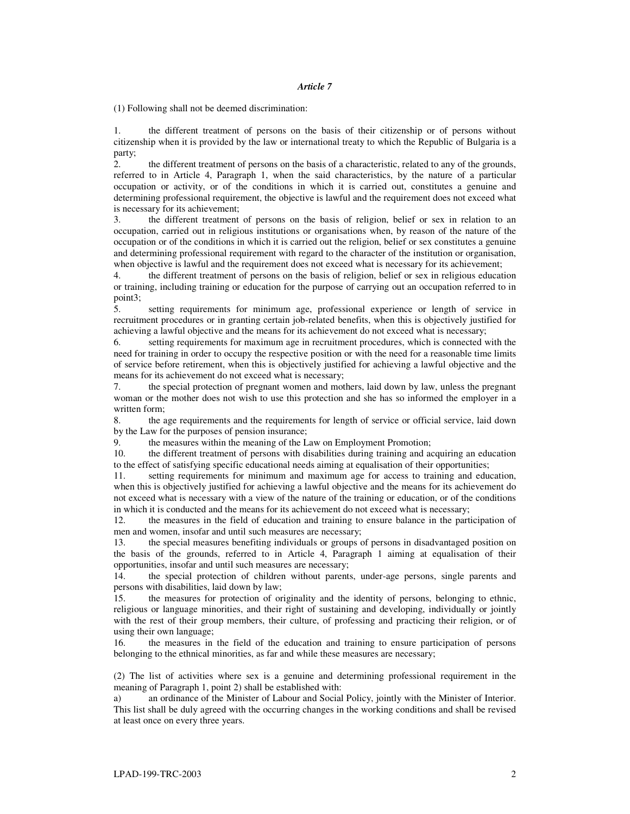(1) Following shall not be deemed discrimination:

1. the different treatment of persons on the basis of their citizenship or of persons without citizenship when it is provided by the law or international treaty to which the Republic of Bulgaria is a party;

2. the different treatment of persons on the basis of a characteristic, related to any of the grounds, referred to in Article 4, Paragraph 1, when the said characteristics, by the nature of a particular occupation or activity, or of the conditions in which it is carried out, constitutes a genuine and determining professional requirement, the objective is lawful and the requirement does not exceed what is necessary for its achievement;

3. the different treatment of persons on the basis of religion, belief or sex in relation to an occupation, carried out in religious institutions or organisations when, by reason of the nature of the occupation or of the conditions in which it is carried out the religion, belief or sex constitutes a genuine and determining professional requirement with regard to the character of the institution or organisation, when objective is lawful and the requirement does not exceed what is necessary for its achievement;

4. the different treatment of persons on the basis of religion, belief or sex in religious education or training, including training or education for the purpose of carrying out an occupation referred to in point3;

5. setting requirements for minimum age, professional experience or length of service in recruitment procedures or in granting certain job-related benefits, when this is objectively justified for achieving a lawful objective and the means for its achievement do not exceed what is necessary;

6. setting requirements for maximum age in recruitment procedures, which is connected with the need for training in order to occupy the respective position or with the need for a reasonable time limits of service before retirement, when this is objectively justified for achieving a lawful objective and the means for its achievement do not exceed what is necessary;

7. the special protection of pregnant women and mothers, laid down by law, unless the pregnant woman or the mother does not wish to use this protection and she has so informed the employer in a written form;

8. the age requirements and the requirements for length of service or official service, laid down by the Law for the purposes of pension insurance;

9. the measures within the meaning of the Law on Employment Promotion;

10. the different treatment of persons with disabilities during training and acquiring an education to the effect of satisfying specific educational needs aiming at equalisation of their opportunities;

11. setting requirements for minimum and maximum age for access to training and education, when this is objectively justified for achieving a lawful objective and the means for its achievement do not exceed what is necessary with a view of the nature of the training or education, or of the conditions in which it is conducted and the means for its achievement do not exceed what is necessary;

12. the measures in the field of education and training to ensure balance in the participation of men and women, insofar and until such measures are necessary;

13. the special measures benefiting individuals or groups of persons in disadvantaged position on the basis of the grounds, referred to in Article 4, Paragraph 1 aiming at equalisation of their opportunities, insofar and until such measures are necessary;

14. the special protection of children without parents, under-age persons, single parents and persons with disabilities, laid down by law;

15. the measures for protection of originality and the identity of persons, belonging to ethnic, religious or language minorities, and their right of sustaining and developing, individually or jointly with the rest of their group members, their culture, of professing and practicing their religion, or of using their own language;

16. the measures in the field of the education and training to ensure participation of persons belonging to the ethnical minorities, as far and while these measures are necessary;

(2) The list of activities where sex is a genuine and determining professional requirement in the meaning of Paragraph 1, point 2) shall be established with:

a) an ordinance of the Minister of Labour and Social Policy, jointly with the Minister of Interior. This list shall be duly agreed with the occurring changes in the working conditions and shall be revised at least once on every three years.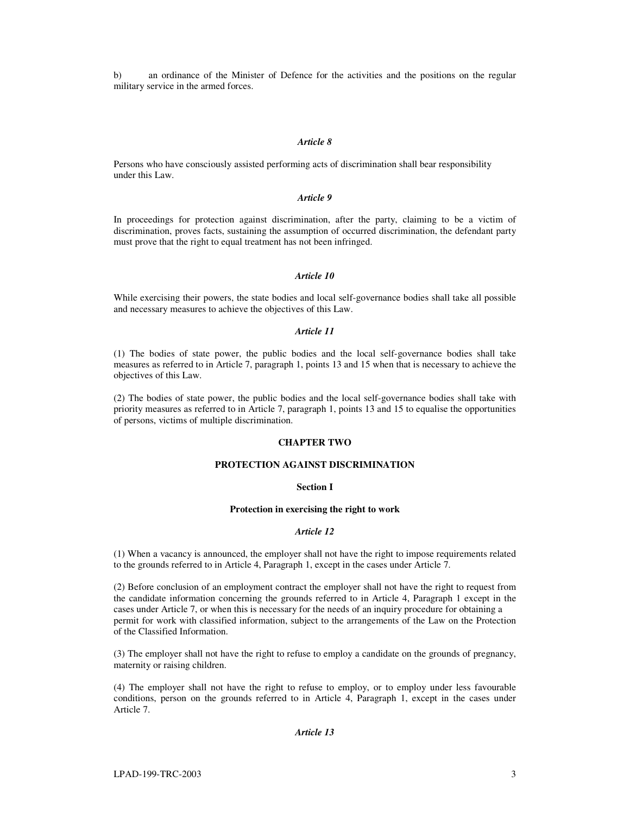b) an ordinance of the Minister of Defence for the activities and the positions on the regular military service in the armed forces.

## *Article 8*

Persons who have consciously assisted performing acts of discrimination shall bear responsibility under this Law.

## *Article 9*

In proceedings for protection against discrimination, after the party, claiming to be a victim of discrimination, proves facts, sustaining the assumption of occurred discrimination, the defendant party must prove that the right to equal treatment has not been infringed.

### *Article 10*

While exercising their powers, the state bodies and local self-governance bodies shall take all possible and necessary measures to achieve the objectives of this Law.

## *Article 11*

(1) The bodies of state power, the public bodies and the local self-governance bodies shall take measures as referred to in Article 7, paragraph 1, points 13 and 15 when that is necessary to achieve the objectives of this Law.

(2) The bodies of state power, the public bodies and the local self-governance bodies shall take with priority measures as referred to in Article 7, paragraph 1, points 13 and 15 to equalise the opportunities of persons, victims of multiple discrimination.

## **CHAPTER TWO**

## **PROTECTION AGAINST DISCRIMINATION**

## **Section I**

#### **Protection in exercising the right to work**

## *Article 12*

(1) When a vacancy is announced, the employer shall not have the right to impose requirements related to the grounds referred to in Article 4, Paragraph 1, except in the cases under Article 7.

(2) Before conclusion of an employment contract the employer shall not have the right to request from the candidate information concerning the grounds referred to in Article 4, Paragraph 1 except in the cases under Article 7, or when this is necessary for the needs of an inquiry procedure for obtaining a permit for work with classified information, subject to the arrangements of the Law on the Protection of the Classified Information.

(3) The employer shall not have the right to refuse to employ a candidate on the grounds of pregnancy, maternity or raising children.

(4) The employer shall not have the right to refuse to employ, or to employ under less favourable conditions, person on the grounds referred to in Article 4, Paragraph 1, except in the cases under Article 7.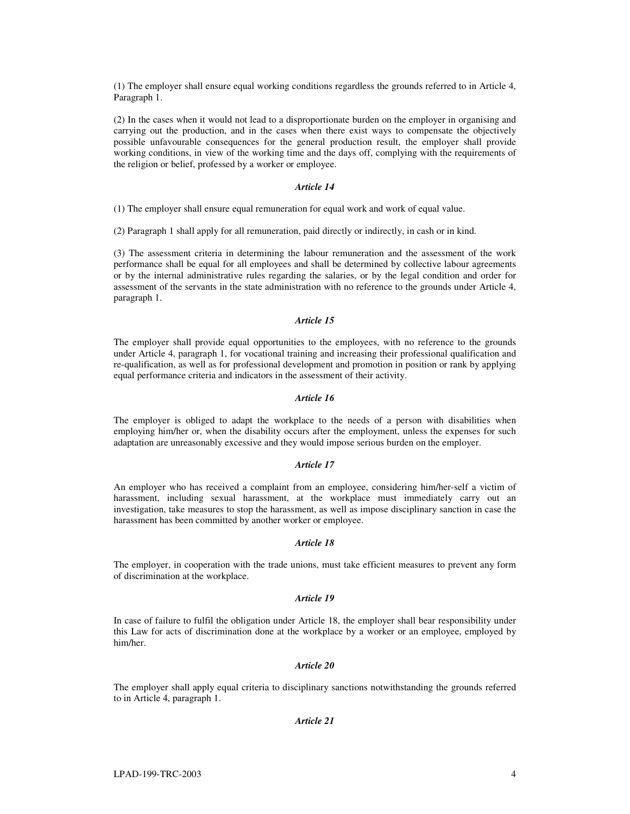(1) The employer shall ensure equal working conditions regardless the grounds referred to in Article 4, Paragraph 1.

(2) In the cases when it would not lead to a disproportionate burden on the employer in organising and carrying out the production, and in the cases when there exist ways to compensate the objectively possible unfavourable consequences for the general production result, the employer shall provide working conditions, in view of the working time and the days off, complying with the requirements of the religion or belief, professed by a worker or employee.

#### *Article 14*

(1) The employer shall ensure equal remuneration for equal work and work of equal value.

(2) Paragraph 1 shall apply for all remuneration, paid directly or indirectly, in cash or in kind.

(3) The assessment criteria in determining the labour remuneration and the assessment of the work performance shall be equal for all employees and shall be determined by collective labour agreements or by the internal administrative rules regarding the salaries, or by the legal condition and order for assessment of the servants in the state administration with no reference to the grounds under Article 4, paragraph 1.

## *Article 15*

The employer shall provide equal opportunities to the employees, with no reference to the grounds under Article 4, paragraph 1, for vocational training and increasing their professional qualification and re-qualification, as well as for professional development and promotion in position or rank by applying equal performance criteria and indicators in the assessment of their activity.

## *Article 16*

The employer is obliged to adapt the workplace to the needs of a person with disabilities when employing him/her or, when the disability occurs after the employment, unless the expenses for such adaptation are unreasonably excessive and they would impose serious burden on the employer.

### *Article 17*

An employer who has received a complaint from an employee, considering him/her-self a victim of harassment, including sexual harassment, at the workplace must immediately carry out an investigation, take measures to stop the harassment, as well as impose disciplinary sanction in case the harassment has been committed by another worker or employee.

## *Article 18*

The employer, in cooperation with the trade unions, must take efficient measures to prevent any form of discrimination at the workplace.

#### *Article 19*

In case of failure to fulfil the obligation under Article 18, the employer shall bear responsibility under this Law for acts of discrimination done at the workplace by a worker or an employee, employed by him/her.

### *Article 20*

The employer shall apply equal criteria to disciplinary sanctions notwithstanding the grounds referred to in Article 4, paragraph 1.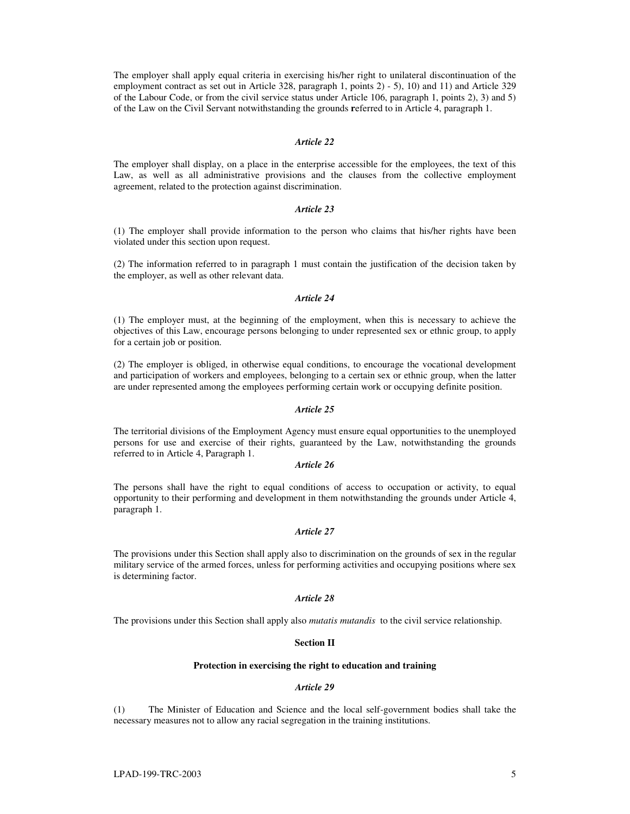The employer shall apply equal criteria in exercising his/her right to unilateral discontinuation of the employment contract as set out in Article 328, paragraph 1, points 2) - 5), 10) and 11) and Article 329 of the Labour Code, or from the civil service status under Article 106, paragraph 1, points 2), 3) and 5) of the Law on the Civil Servant notwithstanding the grounds **r**eferred to in Article 4, paragraph 1.

#### *Article 22*

The employer shall display, on a place in the enterprise accessible for the employees, the text of this Law, as well as all administrative provisions and the clauses from the collective employment agreement, related to the protection against discrimination.

## *Article 23*

(1) The employer shall provide information to the person who claims that his/her rights have been violated under this section upon request.

(2) The information referred to in paragraph 1 must contain the justification of the decision taken by the employer, as well as other relevant data.

### *Article 24*

(1) The employer must, at the beginning of the employment, when this is necessary to achieve the objectives of this Law, encourage persons belonging to under represented sex or ethnic group, to apply for a certain job or position.

(2) The employer is obliged, in otherwise equal conditions, to encourage the vocational development and participation of workers and employees, belonging to a certain sex or ethnic group, when the latter are under represented among the employees performing certain work or occupying definite position.

## *Article 25*

The territorial divisions of the Employment Agency must ensure equal opportunities to the unemployed persons for use and exercise of their rights, guaranteed by the Law, notwithstanding the grounds referred to in Article 4, Paragraph 1.

## *Article 26*

The persons shall have the right to equal conditions of access to occupation or activity, to equal opportunity to their performing and development in them notwithstanding the grounds under Article 4, paragraph 1.

### *Article 27*

The provisions under this Section shall apply also to discrimination on the grounds of sex in the regular military service of the armed forces, unless for performing activities and occupying positions where sex is determining factor.

#### *Article 28*

The provisions under this Section shall apply also *mutatis mutandis* to the civil service relationship.

## **Section II**

#### **Protection in exercising the right to education and training**

#### *Article 29*

(1) The Minister of Education and Science and the local self-government bodies shall take the necessary measures not to allow any racial segregation in the training institutions.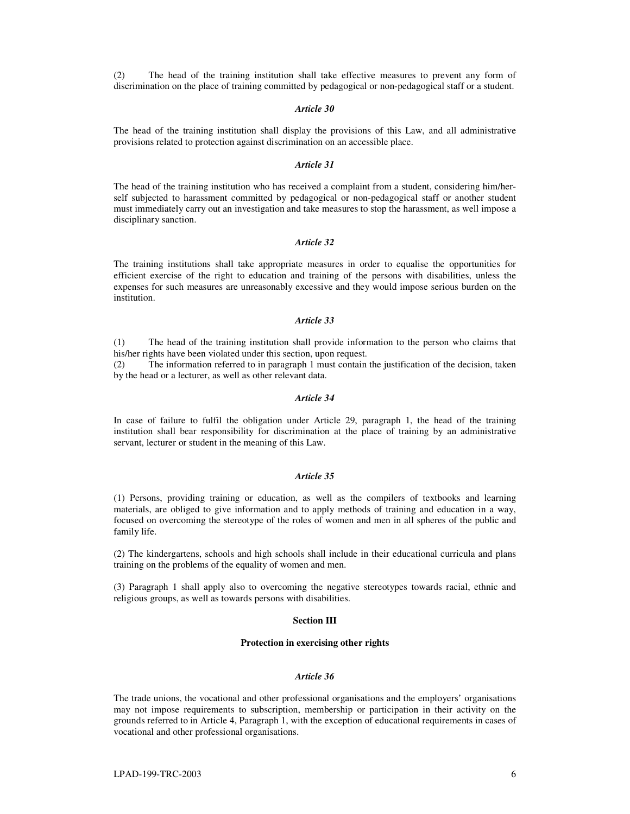(2) The head of the training institution shall take effective measures to prevent any form of discrimination on the place of training committed by pedagogical or non-pedagogical staff or a student.

#### *Article 30*

The head of the training institution shall display the provisions of this Law, and all administrative provisions related to protection against discrimination on an accessible place.

### *Article 31*

The head of the training institution who has received a complaint from a student, considering him/herself subjected to harassment committed by pedagogical or non-pedagogical staff or another student must immediately carry out an investigation and take measures to stop the harassment, as well impose a disciplinary sanction.

## *Article 32*

The training institutions shall take appropriate measures in order to equalise the opportunities for efficient exercise of the right to education and training of the persons with disabilities, unless the expenses for such measures are unreasonably excessive and they would impose serious burden on the institution.

### *Article 33*

(1) The head of the training institution shall provide information to the person who claims that his/her rights have been violated under this section, upon request.

(2) The information referred to in paragraph 1 must contain the justification of the decision, taken by the head or a lecturer, as well as other relevant data.

## *Article 34*

In case of failure to fulfil the obligation under Article 29, paragraph 1, the head of the training institution shall bear responsibility for discrimination at the place of training by an administrative servant, lecturer or student in the meaning of this Law.

#### *Article 35*

(1) Persons, providing training or education, as well as the compilers of textbooks and learning materials, are obliged to give information and to apply methods of training and education in a way, focused on overcoming the stereotype of the roles of women and men in all spheres of the public and family life.

(2) The kindergartens, schools and high schools shall include in their educational curricula and plans training on the problems of the equality of women and men.

(3) Paragraph 1 shall apply also to overcoming the negative stereotypes towards racial, ethnic and religious groups, as well as towards persons with disabilities.

#### **Section III**

### **Protection in exercising other rights**

#### *Article 36*

The trade unions, the vocational and other professional organisations and the employers' organisations may not impose requirements to subscription, membership or participation in their activity on the grounds referred to in Article 4, Paragraph 1, with the exception of educational requirements in cases of vocational and other professional organisations.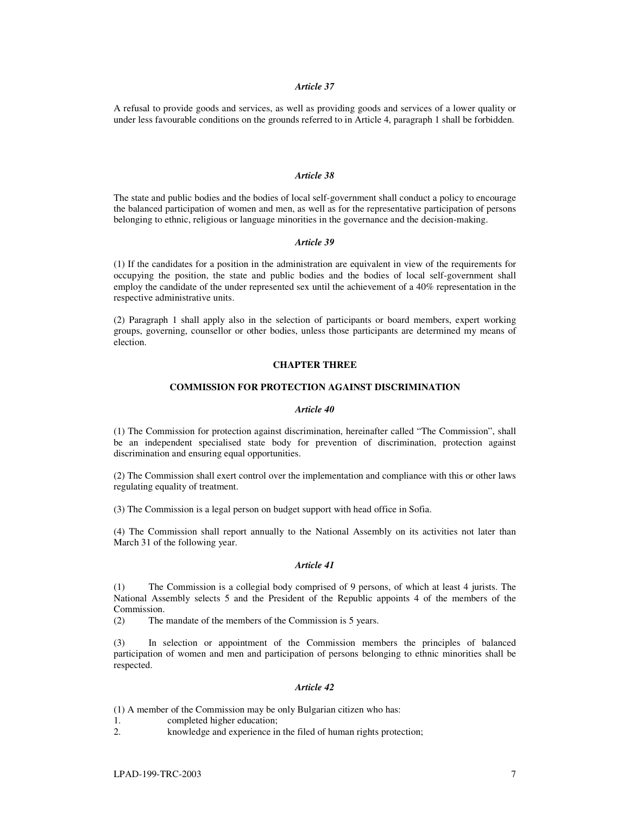#### *Article 37*

A refusal to provide goods and services, as well as providing goods and services of a lower quality or under less favourable conditions on the grounds referred to in Article 4, paragraph 1 shall be forbidden.

### *Article 38*

The state and public bodies and the bodies of local self-government shall conduct a policy to encourage the balanced participation of women and men, as well as for the representative participation of persons belonging to ethnic, religious or language minorities in the governance and the decision-making.

### *Article 39*

(1) If the candidates for a position in the administration are equivalent in view of the requirements for occupying the position, the state and public bodies and the bodies of local self-government shall employ the candidate of the under represented sex until the achievement of a 40% representation in the respective administrative units.

(2) Paragraph 1 shall apply also in the selection of participants or board members, expert working groups, governing, counsellor or other bodies, unless those participants are determined my means of election.

#### **CHAPTER THREE**

## **COMMISSION FOR PROTECTION AGAINST DISCRIMINATION**

#### *Article 40*

(1) The Commission for protection against discrimination, hereinafter called "The Commission", shall be an independent specialised state body for prevention of discrimination, protection against discrimination and ensuring equal opportunities.

(2) The Commission shall exert control over the implementation and compliance with this or other laws regulating equality of treatment.

(3) The Commission is a legal person on budget support with head office in Sofia.

(4) The Commission shall report annually to the National Assembly on its activities not later than March 31 of the following year.

## *Article 41*

(1) The Commission is a collegial body comprised of 9 persons, of which at least 4 jurists. The National Assembly selects 5 and the President of the Republic appoints 4 of the members of the Commission.

(2) The mandate of the members of the Commission is 5 years.

(3) In selection or appointment of the Commission members the principles of balanced participation of women and men and participation of persons belonging to ethnic minorities shall be respected.

#### *Article 42*

(1) A member of the Commission may be only Bulgarian citizen who has:

- 1. completed higher education;
- 2. knowledge and experience in the filed of human rights protection;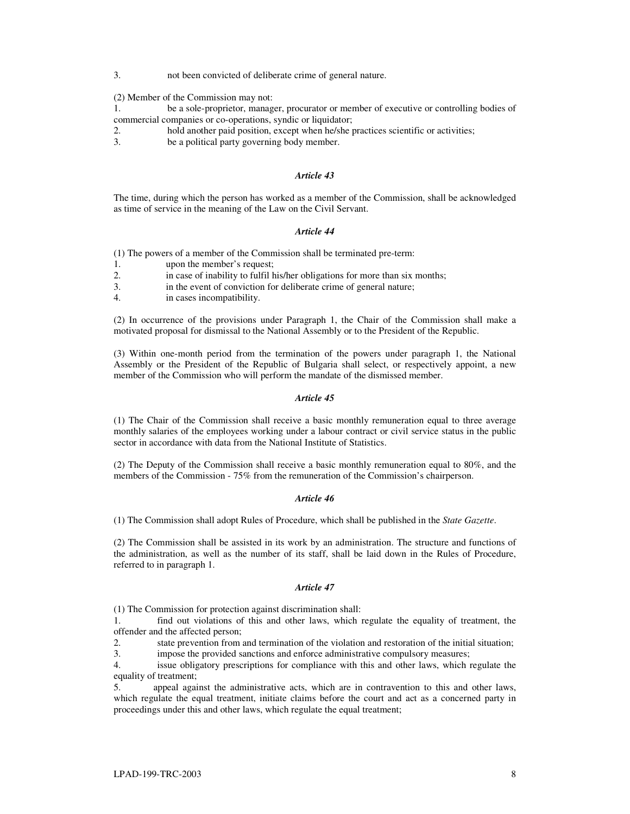3. not been convicted of deliberate crime of general nature.

(2) Member of the Commission may not:

- 1. be a sole-proprietor, manager, procurator or member of executive or controlling bodies of commercial companies or co-operations, syndic or liquidator;
- 2. hold another paid position, except when he/she practices scientific or activities;
- 3. be a political party governing body member.

## *Article 43*

The time, during which the person has worked as a member of the Commission, shall be acknowledged as time of service in the meaning of the Law on the Civil Servant.

#### *Article 44*

(1) The powers of a member of the Commission shall be terminated pre-term:

- 1. upon the member's request;
- 2. in case of inability to fulfil his/her obligations for more than six months;

3. in the event of conviction for deliberate crime of general nature;

4. in cases incompatibility.

(2) In occurrence of the provisions under Paragraph 1, the Chair of the Commission shall make a motivated proposal for dismissal to the National Assembly or to the President of the Republic.

(3) Within one-month period from the termination of the powers under paragraph 1, the National Assembly or the President of the Republic of Bulgaria shall select, or respectively appoint, a new member of the Commission who will perform the mandate of the dismissed member.

## *Article 45*

(1) The Chair of the Commission shall receive a basic monthly remuneration equal to three average monthly salaries of the employees working under a labour contract or civil service status in the public sector in accordance with data from the National Institute of Statistics.

(2) The Deputy of the Commission shall receive a basic monthly remuneration equal to 80%, and the members of the Commission - 75% from the remuneration of the Commission's chairperson.

#### *Article 46*

(1) The Commission shall adopt Rules of Procedure, which shall be published in the *State Gazette*.

(2) The Commission shall be assisted in its work by an administration. The structure and functions of the administration, as well as the number of its staff, shall be laid down in the Rules of Procedure, referred to in paragraph 1.

## *Article 47*

(1) The Commission for protection against discrimination shall:

1. find out violations of this and other laws, which regulate the equality of treatment, the offender and the affected person;

2. state prevention from and termination of the violation and restoration of the initial situation;

3. impose the provided sanctions and enforce administrative compulsory measures;

4. issue obligatory prescriptions for compliance with this and other laws, which regulate the equality of treatment;

5. appeal against the administrative acts, which are in contravention to this and other laws, which regulate the equal treatment, initiate claims before the court and act as a concerned party in proceedings under this and other laws, which regulate the equal treatment;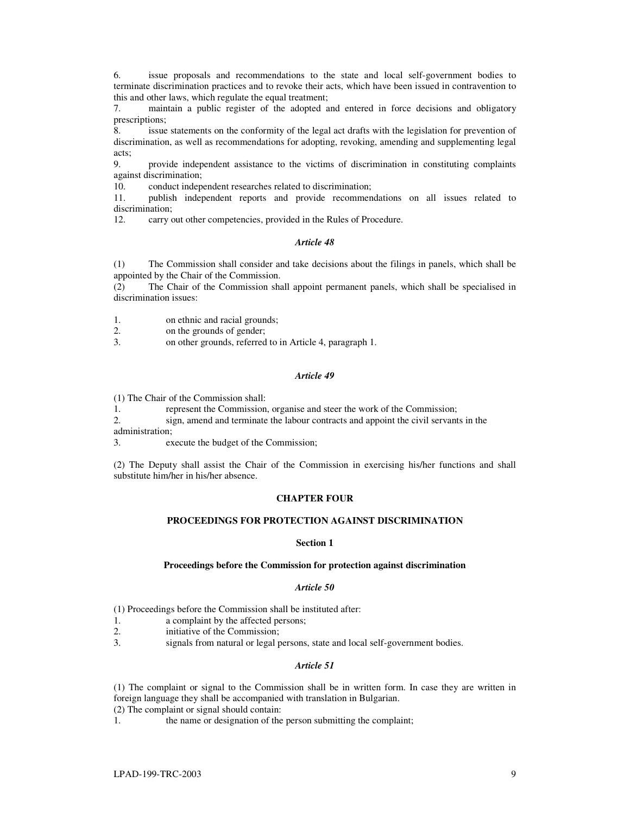6. issue proposals and recommendations to the state and local self-government bodies to terminate discrimination practices and to revoke their acts, which have been issued in contravention to this and other laws, which regulate the equal treatment;

7. maintain a public register of the adopted and entered in force decisions and obligatory prescriptions;

8. issue statements on the conformity of the legal act drafts with the legislation for prevention of discrimination, as well as recommendations for adopting, revoking, amending and supplementing legal acts;

9. provide independent assistance to the victims of discrimination in constituting complaints against discrimination;

10. conduct independent researches related to discrimination;

11. publish independent reports and provide recommendations on all issues related to discrimination;

12. carry out other competencies, provided in the Rules of Procedure.

### *Article 48*

(1) The Commission shall consider and take decisions about the filings in panels, which shall be appointed by the Chair of the Commission.

(2) The Chair of the Commission shall appoint permanent panels, which shall be specialised in discrimination issues:

1. on ethnic and racial grounds;

2. on the grounds of gender;

3. on other grounds, referred to in Article 4, paragraph 1.

#### *Article 49*

(1) The Chair of the Commission shall:

1. represent the Commission, organise and steer the work of the Commission;

2. sign, amend and terminate the labour contracts and appoint the civil servants in the administration;

3. execute the budget of the Commission;

(2) The Deputy shall assist the Chair of the Commission in exercising his/her functions and shall substitute him/her in his/her absence.

# **CHAPTER FOUR**

## **PROCEEDINGS FOR PROTECTION AGAINST DISCRIMINATION**

## **Section 1**

## **Proceedings before the Commission for protection against discrimination**

#### *Article 50*

(1) Proceedings before the Commission shall be instituted after:

- 1. a complaint by the affected persons;
- 2. initiative of the Commission;
- 3. signals from natural or legal persons, state and local self-government bodies.

#### *Article 51*

(1) The complaint or signal to the Commission shall be in written form. In case they are written in foreign language they shall be accompanied with translation in Bulgarian.

(2) The complaint or signal should contain:

1. the name or designation of the person submitting the complaint;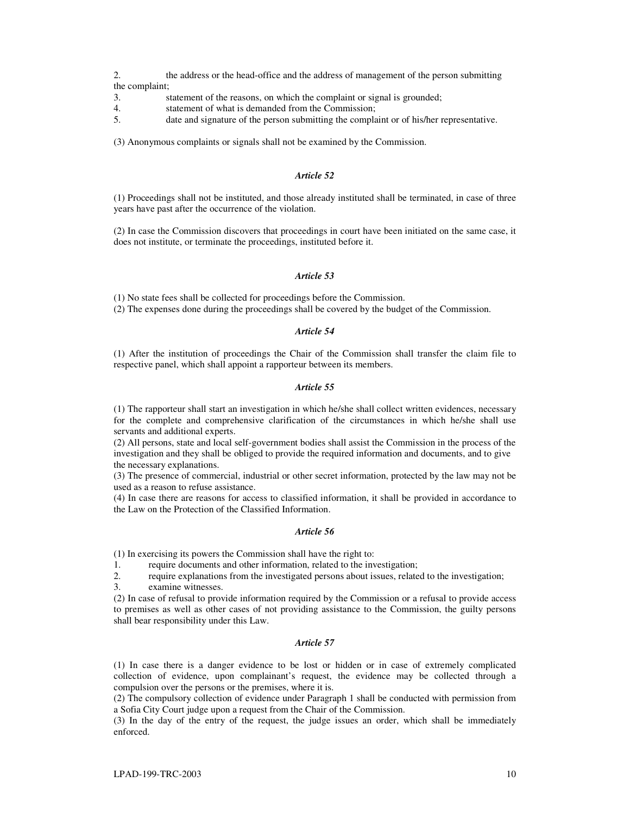2. the address or the head-office and the address of management of the person submitting the complaint;

- 3. statement of the reasons, on which the complaint or signal is grounded;
- 4. statement of what is demanded from the Commission;
- 5. date and signature of the person submitting the complaint or of his/her representative.

(3) Anonymous complaints or signals shall not be examined by the Commission.

## *Article 52*

(1) Proceedings shall not be instituted, and those already instituted shall be terminated, in case of three years have past after the occurrence of the violation.

(2) In case the Commission discovers that proceedings in court have been initiated on the same case, it does not institute, or terminate the proceedings, instituted before it.

### *Article 53*

(1) No state fees shall be collected for proceedings before the Commission.

(2) The expenses done during the proceedings shall be covered by the budget of the Commission.

## *Article 54*

(1) After the institution of proceedings the Chair of the Commission shall transfer the claim file to respective panel, which shall appoint a rapporteur between its members.

#### *Article 55*

(1) The rapporteur shall start an investigation in which he/she shall collect written evidences, necessary for the complete and comprehensive clarification of the circumstances in which he/she shall use servants and additional experts.

(2) All persons, state and local self-government bodies shall assist the Commission in the process of the investigation and they shall be obliged to provide the required information and documents, and to give the necessary explanations.

(3) The presence of commercial, industrial or other secret information, protected by the law may not be used as a reason to refuse assistance.

(4) In case there are reasons for access to classified information, it shall be provided in accordance to the Law on the Protection of the Classified Information.

## *Article 56*

(1) In exercising its powers the Commission shall have the right to:

1. require documents and other information, related to the investigation;<br>2. require explanations from the investigated persons about issues, relate

require explanations from the investigated persons about issues, related to the investigation;

3. examine witnesses.

(2) In case of refusal to provide information required by the Commission or a refusal to provide access to premises as well as other cases of not providing assistance to the Commission, the guilty persons shall bear responsibility under this Law.

## *Article 57*

(1) In case there is a danger evidence to be lost or hidden or in case of extremely complicated collection of evidence, upon complainant's request, the evidence may be collected through a compulsion over the persons or the premises, where it is.

(2) The compulsory collection of evidence under Paragraph 1 shall be conducted with permission from a Sofia City Court judge upon a request from the Chair of the Commission.

(3) In the day of the entry of the request, the judge issues an order, which shall be immediately enforced.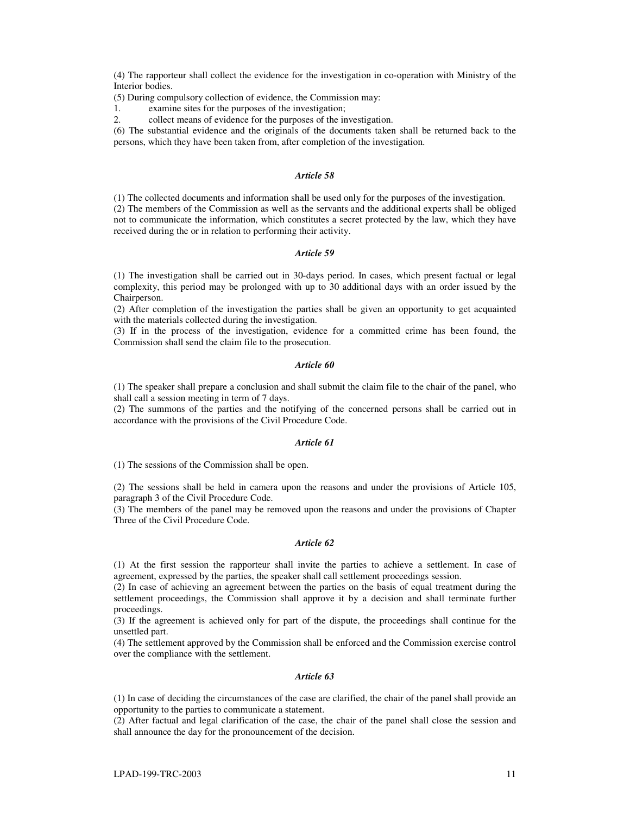(4) The rapporteur shall collect the evidence for the investigation in co-operation with Ministry of the Interior bodies.

(5) During compulsory collection of evidence, the Commission may:

1. examine sites for the purposes of the investigation;

2. collect means of evidence for the purposes of the investigation.

(6) The substantial evidence and the originals of the documents taken shall be returned back to the persons, which they have been taken from, after completion of the investigation.

## *Article 58*

(1) The collected documents and information shall be used only for the purposes of the investigation. (2) The members of the Commission as well as the servants and the additional experts shall be obliged not to communicate the information, which constitutes a secret protected by the law, which they have received during the or in relation to performing their activity.

### *Article 59*

(1) The investigation shall be carried out in 30-days period. In cases, which present factual or legal complexity, this period may be prolonged with up to 30 additional days with an order issued by the Chairperson.

(2) After completion of the investigation the parties shall be given an opportunity to get acquainted with the materials collected during the investigation.

(3) If in the process of the investigation, evidence for a committed crime has been found, the Commission shall send the claim file to the prosecution.

#### *Article 60*

(1) The speaker shall prepare a conclusion and shall submit the claim file to the chair of the panel, who shall call a session meeting in term of 7 days.

(2) The summons of the parties and the notifying of the concerned persons shall be carried out in accordance with the provisions of the Civil Procedure Code.

## *Article 61*

(1) The sessions of the Commission shall be open.

(2) The sessions shall be held in camera upon the reasons and under the provisions of Article 105, paragraph 3 of the Civil Procedure Code.

(3) The members of the panel may be removed upon the reasons and under the provisions of Chapter Three of the Civil Procedure Code.

## *Article 62*

(1) At the first session the rapporteur shall invite the parties to achieve a settlement. In case of agreement, expressed by the parties, the speaker shall call settlement proceedings session.

(2) In case of achieving an agreement between the parties on the basis of equal treatment during the settlement proceedings, the Commission shall approve it by a decision and shall terminate further proceedings.

(3) If the agreement is achieved only for part of the dispute, the proceedings shall continue for the unsettled part.

(4) The settlement approved by the Commission shall be enforced and the Commission exercise control over the compliance with the settlement.

#### *Article 63*

(1) In case of deciding the circumstances of the case are clarified, the chair of the panel shall provide an opportunity to the parties to communicate a statement.

(2) After factual and legal clarification of the case, the chair of the panel shall close the session and shall announce the day for the pronouncement of the decision.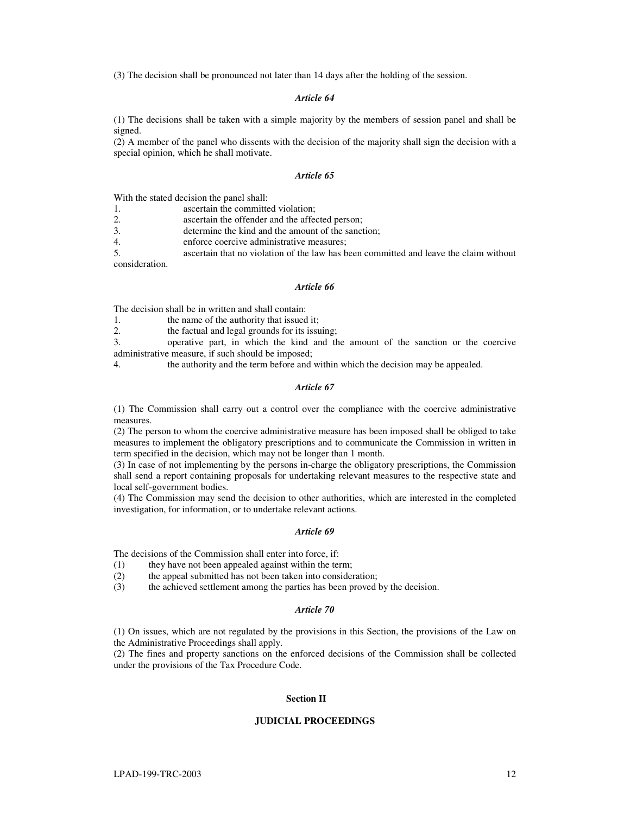(3) The decision shall be pronounced not later than 14 days after the holding of the session.

### *Article 64*

(1) The decisions shall be taken with a simple majority by the members of session panel and shall be signed.

(2) A member of the panel who dissents with the decision of the majority shall sign the decision with a special opinion, which he shall motivate.

### *Article 65*

With the stated decision the panel shall:

1. ascertain the committed violation;

2. ascertain the offender and the affected person;<br>3. determine the kind and the amount of the sance

determine the kind and the amount of the sanction:

4. enforce coercive administrative measures;

5. ascertain that no violation of the law has been committed and leave the claim without consideration.

#### *Article 66*

The decision shall be in written and shall contain:

1. the name of the authority that issued it;

2. the factual and legal grounds for its issuing;

3. operative part, in which the kind and the amount of the sanction or the coercive administrative measure, if such should be imposed;

4. the authority and the term before and within which the decision may be appealed.

#### *Article 67*

(1) The Commission shall carry out a control over the compliance with the coercive administrative measures.

(2) The person to whom the coercive administrative measure has been imposed shall be obliged to take measures to implement the obligatory prescriptions and to communicate the Commission in written in term specified in the decision, which may not be longer than 1 month.

(3) In case of not implementing by the persons in-charge the obligatory prescriptions, the Commission shall send a report containing proposals for undertaking relevant measures to the respective state and local self-government bodies.

(4) The Commission may send the decision to other authorities, which are interested in the completed investigation, for information, or to undertake relevant actions.

### *Article 69*

The decisions of the Commission shall enter into force, if:<br>(1) they have not been appealed against within the te

- they have not been appealed against within the term;
- (2) the appeal submitted has not been taken into consideration;
- (3) the achieved settlement among the parties has been proved by the decision.

# *Article 70*

(1) On issues, which are not regulated by the provisions in this Section, the provisions of the Law on the Administrative Proceedings shall apply.

(2) The fines and property sanctions on the enforced decisions of the Commission shall be collected under the provisions of the Tax Procedure Code.

## **Section II**

#### **JUDICIAL PROCEEDINGS**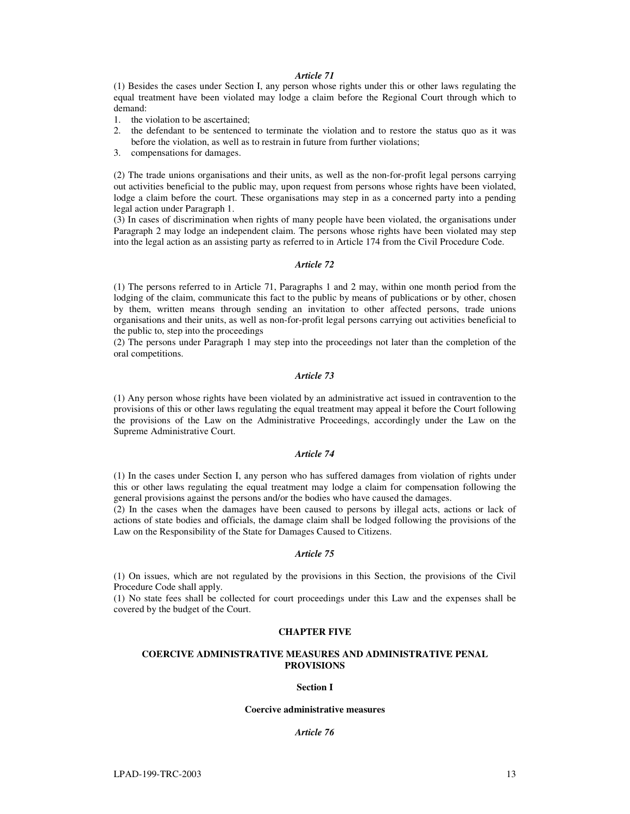## *Article 71*

(1) Besides the cases under Section I, any person whose rights under this or other laws regulating the equal treatment have been violated may lodge a claim before the Regional Court through which to demand:

- 1. the violation to be ascertained;
- 2. the defendant to be sentenced to terminate the violation and to restore the status quo as it was before the violation, as well as to restrain in future from further violations;
- 3. compensations for damages.

(2) The trade unions organisations and their units, as well as the non-for-profit legal persons carrying out activities beneficial to the public may, upon request from persons whose rights have been violated, lodge a claim before the court. These organisations may step in as a concerned party into a pending legal action under Paragraph 1.

(3) In cases of discrimination when rights of many people have been violated, the organisations under Paragraph 2 may lodge an independent claim. The persons whose rights have been violated may step into the legal action as an assisting party as referred to in Article 174 from the Civil Procedure Code.

## *Article 72*

(1) The persons referred to in Article 71, Paragraphs 1 and 2 may, within one month period from the lodging of the claim, communicate this fact to the public by means of publications or by other, chosen by them, written means through sending an invitation to other affected persons, trade unions organisations and their units, as well as non-for-profit legal persons carrying out activities beneficial to the public to, step into the proceedings

(2) The persons under Paragraph 1 may step into the proceedings not later than the completion of the oral competitions.

## *Article 73*

(1) Any person whose rights have been violated by an administrative act issued in contravention to the provisions of this or other laws regulating the equal treatment may appeal it before the Court following the provisions of the Law on the Administrative Proceedings, accordingly under the Law on the Supreme Administrative Court.

## *Article 74*

(1) In the cases under Section I, any person who has suffered damages from violation of rights under this or other laws regulating the equal treatment may lodge a claim for compensation following the general provisions against the persons and/or the bodies who have caused the damages.

(2) In the cases when the damages have been caused to persons by illegal acts, actions or lack of actions of state bodies and officials, the damage claim shall be lodged following the provisions of the Law on the Responsibility of the State for Damages Caused to Citizens.

## *Article 75*

(1) On issues, which are not regulated by the provisions in this Section, the provisions of the Civil Procedure Code shall apply.

(1) No state fees shall be collected for court proceedings under this Law and the expenses shall be covered by the budget of the Court.

### **CHAPTER FIVE**

## **COERCIVE ADMINISTRATIVE MEASURES AND ADMINISTRATIVE PENAL PROVISIONS**

#### **Section I**

#### **Coercive administrative measures**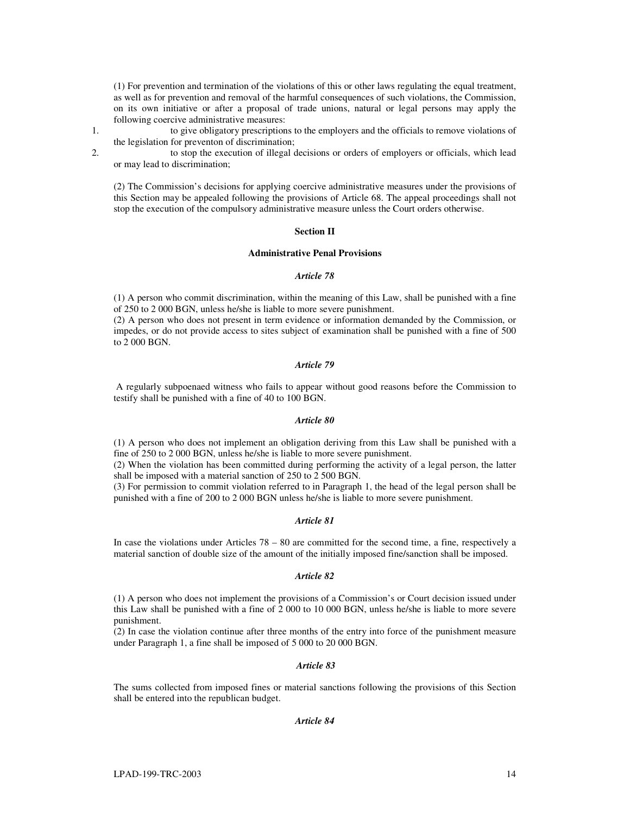(1) For prevention and termination of the violations of this or other laws regulating the equal treatment, as well as for prevention and removal of the harmful consequences of such violations, the Commission, on its own initiative or after a proposal of trade unions, natural or legal persons may apply the following coercive administrative measures:

1. to give obligatory prescriptions to the employers and the officials to remove violations of the legislation for preventon of discrimination;

2. to stop the execution of illegal decisions or orders of employers or officials, which lead or may lead to discrimination;

(2) The Commission's decisions for applying coercive administrative measures under the provisions of this Section may be appealed following the provisions of Article 68. The appeal proceedings shall not stop the execution of the compulsory administrative measure unless the Court orders otherwise.

### **Section II**

# **Administrative Penal Provisions**

#### *Article 78*

(1) A person who commit discrimination, within the meaning of this Law, shall be punished with a fine of 250 to 2 000 BGN, unless he/she is liable to more severe punishment.

(2) A person who does not present in term evidence or information demanded by the Commission, or impedes, or do not provide access to sites subject of examination shall be punished with a fine of 500 to 2 000 BGN.

## *Article 79*

A regularly subpoenaed witness who fails to appear without good reasons before the Commission to testify shall be punished with a fine of 40 to 100 BGN.

#### *Article 80*

(1) A person who does not implement an obligation deriving from this Law shall be punished with a fine of 250 to 2 000 BGN, unless he/she is liable to more severe punishment.

(2) When the violation has been committed during performing the activity of a legal person, the latter shall be imposed with a material sanction of 250 to 2 500 BGN.

(3) For permission to commit violation referred to in Paragraph 1, the head of the legal person shall be punished with a fine of 200 to 2 000 BGN unless he/she is liable to more severe punishment.

## *Article 81*

In case the violations under Articles 78 – 80 are committed for the second time, a fine, respectively a material sanction of double size of the amount of the initially imposed fine/sanction shall be imposed.

### *Article 82*

(1) A person who does not implement the provisions of a Commission's or Court decision issued under this Law shall be punished with a fine of 2 000 to 10 000 BGN, unless he/she is liable to more severe punishment.

(2) In case the violation continue after three months of the entry into force of the punishment measure under Paragraph 1, a fine shall be imposed of 5 000 to 20 000 BGN.

#### *Article 83*

The sums collected from imposed fines or material sanctions following the provisions of this Section shall be entered into the republican budget.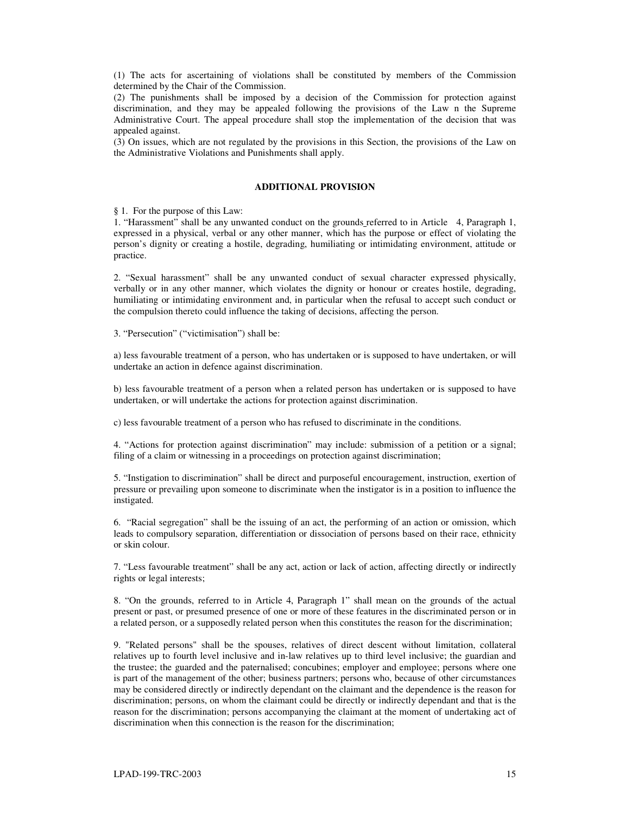(1) The acts for ascertaining of violations shall be constituted by members of the Commission determined by the Chair of the Commission.

(2) The punishments shall be imposed by a decision of the Commission for protection against discrimination, and they may be appealed following the provisions of the Law n the Supreme Administrative Court. The appeal procedure shall stop the implementation of the decision that was appealed against.

(3) On issues, which are not regulated by the provisions in this Section, the provisions of the Law on the Administrative Violations and Punishments shall apply.

# **ADDITIONAL PROVISION**

§ 1. For the purpose of this Law:

1. "Harassment" shall be any unwanted conduct on the grounds referred to in Article 4, Paragraph 1, expressed in a physical, verbal or any other manner, which has the purpose or effect of violating the person's dignity or creating a hostile, degrading, humiliating or intimidating environment, attitude or practice.

2. "Sexual harassment" shall be any unwanted conduct of sexual character expressed physically, verbally or in any other manner, which violates the dignity or honour or creates hostile, degrading, humiliating or intimidating environment and, in particular when the refusal to accept such conduct or the compulsion thereto could influence the taking of decisions, affecting the person.

3. "Persecution" ("victimisation") shall be:

a) less favourable treatment of a person, who has undertaken or is supposed to have undertaken, or will undertake an action in defence against discrimination.

b) less favourable treatment of a person when a related person has undertaken or is supposed to have undertaken, or will undertake the actions for protection against discrimination.

c) less favourable treatment of a person who has refused to discriminate in the conditions.

4. "Actions for protection against discrimination" may include: submission of a petition or a signal; filing of a claim or witnessing in a proceedings on protection against discrimination;

5. "Instigation to discrimination" shall be direct and purposeful encouragement, instruction, exertion of pressure or prevailing upon someone to discriminate when the instigator is in a position to influence the instigated.

6. "Racial segregation" shall be the issuing of an act, the performing of an action or omission, which leads to compulsory separation, differentiation or dissociation of persons based on their race, ethnicity or skin colour.

7. "Less favourable treatment" shall be any act, action or lack of action, affecting directly or indirectly rights or legal interests;

8. "On the grounds, referred to in Article 4, Paragraph 1" shall mean on the grounds of the actual present or past, or presumed presence of one or more of these features in the discriminated person or in a related person, or a supposedly related person when this constitutes the reason for the discrimination;

9. "Related persons" shall be the spouses, relatives of direct descent without limitation, collateral relatives up to fourth level inclusive and in-law relatives up to third level inclusive; the guardian and the trustee; the guarded and the paternalised; concubines; employer and employee; persons where one is part of the management of the other; business partners; persons who, because of other circumstances may be considered directly or indirectly dependant on the claimant and the dependence is the reason for discrimination; persons, on whom the claimant could be directly or indirectly dependant and that is the reason for the discrimination; persons accompanying the claimant at the moment of undertaking act of discrimination when this connection is the reason for the discrimination;